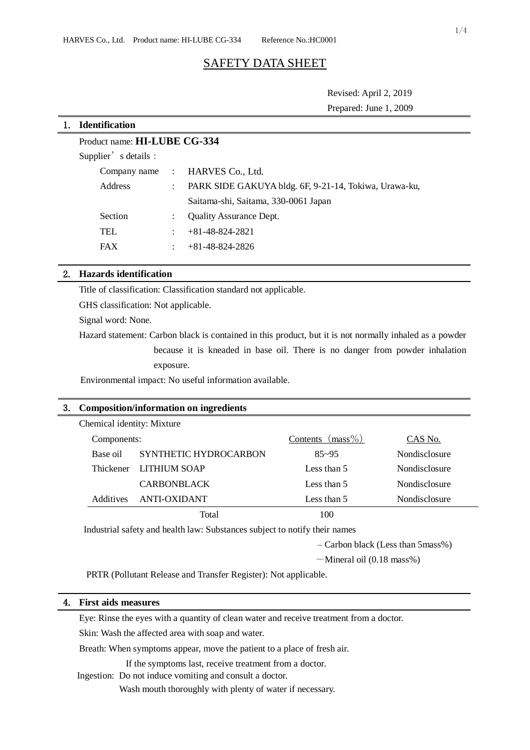# SAFETY DATA SHEET

Revised: April 2, 2019

| Prepared: June 1, 2009 |  |  |  |
|------------------------|--|--|--|
|------------------------|--|--|--|

| <b>Identification</b>               |                      |                                                       |  |  |  |
|-------------------------------------|----------------------|-------------------------------------------------------|--|--|--|
| Product name: <b>HI-LUBE CG-334</b> |                      |                                                       |  |  |  |
| Supplier's details :                |                      |                                                       |  |  |  |
| Company name                        | $\mathcal{L}$        | HARVES Co., Ltd.                                      |  |  |  |
| Address                             | $\ddot{\phantom{a}}$ | PARK SIDE GAKUYA bldg. 6F, 9-21-14, Tokiwa, Urawa-ku, |  |  |  |
|                                     |                      | Saitama-shi, Saitama, 330-0061 Japan                  |  |  |  |
| Section                             |                      | <b>Quality Assurance Dept.</b>                        |  |  |  |
| TEL                                 | ÷                    | $+81-48-824-2821$                                     |  |  |  |
| <b>FAX</b>                          | ÷                    | $+81-48-824-2826$                                     |  |  |  |
|                                     |                      |                                                       |  |  |  |

### 2. **Hazards identification**

Title of classification: Classification standard not applicable.

GHS classification: Not applicable.

Signal word: None.

Hazard statement: Carbon black is contained in this product, but it is not normally inhaled as a powder because it is kneaded in base oil. There is no danger from powder inhalation exposure.

Environmental impact: No useful information available.

## 3. **Composition/information on ingredients**

| Chemical identity: Mixture |                        |                     |               |
|----------------------------|------------------------|---------------------|---------------|
| Components:                |                        | Contents $(mass\%)$ | CAS No.       |
| Base oil                   | SYNTHETIC HYDROCARBON  | $85 - 95$           | Nondisclosure |
|                            | Thickener LITHIUM SOAP | Less than 5         | Nondisclosure |
|                            | <b>CARBONBLACK</b>     | Less than 5         | Nondisclosure |
| Additives                  | ANTI-OXIDANT           | Less than 5         | Nondisclosure |
|                            | Total                  | 100                 |               |

Industrial safety and health law: Substances subject to notify their names

– Carbon black (Less than 5mass%)

 $-Mineral$  oil (0.18 mass%)

PRTR (Pollutant Release and Transfer Register): Not applicable.

#### 4. **First aids measures**

Eye: Rinse the eyes with a quantity of clean water and receive treatment from a doctor.

Skin: Wash the affected area with soap and water.

Breath: When symptoms appear, move the patient to a place of fresh air.

If the symptoms last, receive treatment from a doctor.

Ingestion: Do not induce vomiting and consult a doctor.

Wash mouth thoroughly with plenty of water if necessary.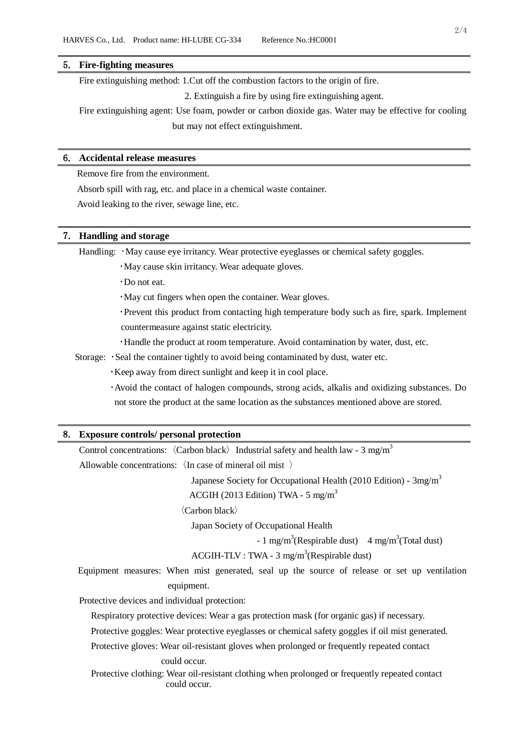#### 5. **Fire-fighting measures**

Fire extinguishing method: 1.Cut off the combustion factors to the origin of fire.

2. Extinguish a fire by using fire extinguishing agent.

Fire extinguishing agent: Use foam, powder or carbon dioxide gas. Water may be effective for cooling but may not effect extinguishment.

### 6. **Accidental release measures**

Remove fire from the environment.

Absorb spill with rag, etc. and place in a chemical waste container.

Avoid leaking to the river, sewage line, etc.

### 7. **Handling and storage**

Handling:  $\cdot$  May cause eye irritancy. Wear protective eyeglasses or chemical safety goggles.

・May cause skin irritancy. Wear adequate gloves.

・Do not eat.

・May cut fingers when open the container. Wear gloves.

・Prevent this product from contacting high temperature body such as fire, spark. Implement countermeasure against static electricity.

・Handle the product at room temperature. Avoid contamination by water, dust, etc.

Storage: ・Seal the container tightly to avoid being contaminated by dust, water etc.

・Keep away from direct sunlight and keep it in cool place.

・Avoid the contact of halogen compounds, strong acids, alkalis and oxidizing substances. Do not store the product at the same location as the substances mentioned above are stored.

#### 8. **Exposure controls/ personal protection**

```
Control concentrations: \langleCarbon black\rangle Industrial safety and health law - 3 mg/m<sup>3</sup>
```
Allowable concentrations:〈In case of mineral oil mist 〉

Japanese Society for Occupational Health (2010 Edition) -  $3mg/m<sup>3</sup>$ 

ACGIH (2013 Edition) TWA -  $5 \text{ mg/m}^3$ 

〈Carbon black〉

Japan Society of Occupational Health

 $-1$  mg/m<sup>3</sup>(Respirable dust)  $4$  mg/m<sup>3</sup>(Total dust)

 $ACGIH-TLV : TWA - 3 mg/m<sup>3</sup>(Respirable dust)$ 

Equipment measures: When mist generated, seal up the source of release or set up ventilation equipment.

Protective devices and individual protection:

Respiratory protective devices: Wear a gas protection mask (for organic gas) if necessary.

Protective goggles: Wear protective eyeglasses or chemical safety goggles if oil mist generated.

Protective gloves: Wear oil-resistant gloves when prolonged or frequently repeated contact

#### could occur.

Protective clothing: Wear oil-resistant clothing when prolonged or frequently repeated contact could occur.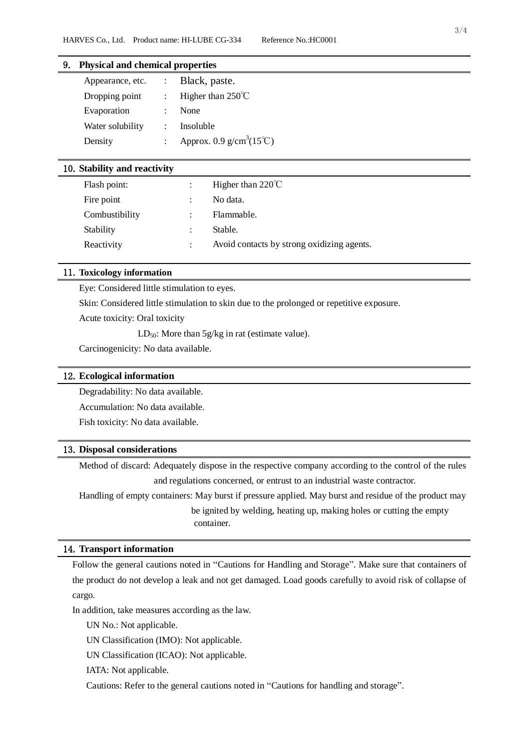## 9. **Physical and chemical properties**

| Appearance, etc. | Black, paste.                     |
|------------------|-----------------------------------|
| Dropping point   | Higher than $250^{\circ}$ C       |
| Evaporation      | None                              |
| Water solubility | Insoluble                         |
| Density          | Approx. 0.9 $g/cm^3(15^{\circ}C)$ |

### 10.**Stability and reactivity**

| Flash point:   |                           | Higher than $220^{\circ}$ C                |
|----------------|---------------------------|--------------------------------------------|
| Fire point     | $\mathbb{R}^{\mathbb{Z}}$ | No data.                                   |
| Combustibility |                           | Flammable.                                 |
| Stability      | ÷                         | Stable.                                    |
| Reactivity     | ÷                         | Avoid contacts by strong oxidizing agents. |

### 11.**Toxicology information**

Eye: Considered little stimulation to eyes.

Skin: Considered little stimulation to skin due to the prolonged or repetitive exposure.

Acute toxicity: Oral toxicity

 $LD_{50}$ : More than  $5g/kg$  in rat (estimate value).

Carcinogenicity: No data available.

#### 12.**Ecological information**

Degradability: No data available.

Accumulation: No data available.

Fish toxicity: No data available.

### 13.**Disposal considerations**

Method of discard: Adequately dispose in the respective company according to the control of the rules and regulations concerned, or entrust to an industrial waste contractor.

Handling of empty containers: May burst if pressure applied. May burst and residue of the product may be ignited by welding, heating up, making holes or cutting the empty container.

### 14.**Transport information**

Follow the general cautions noted in "Cautions for Handling and Storage". Make sure that containers of the product do not develop a leak and not get damaged. Load goods carefully to avoid risk of collapse of cargo.

In addition, take measures according as the law.

UN No.: Not applicable.

UN Classification (IMO): Not applicable.

UN Classification (ICAO): Not applicable.

IATA: Not applicable.

Cautions: Refer to the general cautions noted in "Cautions for handling and storage".